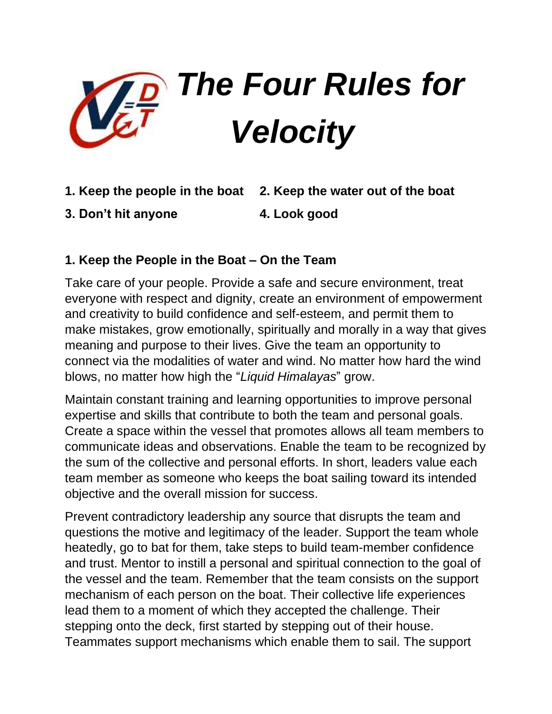

- **1. Keep the people in the boat 2. Keep the water out of the boat**
- **3. Don't hit anyone 4. Look good**

#### **1. Keep the People in the Boat – On the Team**

Take care of your people. Provide a safe and secure environment, treat everyone with respect and dignity, create an environment of empowerment and creativity to build confidence and self-esteem, and permit them to make mistakes, grow emotionally, spiritually and morally in a way that gives meaning and purpose to their lives. Give the team an opportunity to connect via the modalities of water and wind. No matter how hard the wind blows, no matter how high the "*Liquid Himalayas*" grow.

Maintain constant training and learning opportunities to improve personal expertise and skills that contribute to both the team and personal goals. Create a space within the vessel that promotes allows all team members to communicate ideas and observations. Enable the team to be recognized by the sum of the collective and personal efforts. In short, leaders value each team member as someone who keeps the boat sailing toward its intended objective and the overall mission for success.

Prevent contradictory leadership any source that disrupts the team and questions the motive and legitimacy of the leader. Support the team whole heatedly, go to bat for them, take steps to build team-member confidence and trust. Mentor to instill a personal and spiritual connection to the goal of the vessel and the team. Remember that the team consists on the support mechanism of each person on the boat. Their collective life experiences lead them to a moment of which they accepted the challenge. Their stepping onto the deck, first started by stepping out of their house. Teammates support mechanisms which enable them to sail. The support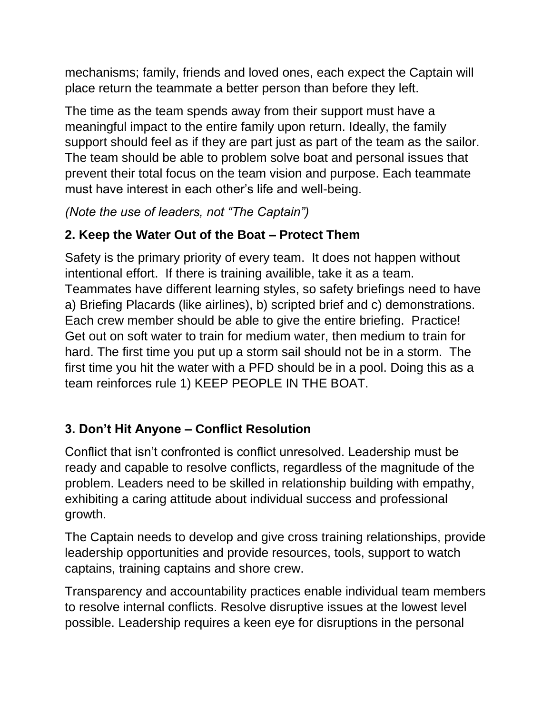mechanisms; family, friends and loved ones, each expect the Captain will place return the teammate a better person than before they left.

The time as the team spends away from their support must have a meaningful impact to the entire family upon return. Ideally, the family support should feel as if they are part just as part of the team as the sailor. The team should be able to problem solve boat and personal issues that prevent their total focus on the team vision and purpose. Each teammate must have interest in each other's life and well-being.

*(Note the use of leaders, not "The Captain")*

## **2. Keep the Water Out of the Boat – Protect Them**

Safety is the primary priority of every team. It does not happen without intentional effort. If there is training availible, take it as a team. Teammates have different learning styles, so safety briefings need to have a) Briefing Placards (like airlines), b) scripted brief and c) demonstrations. Each crew member should be able to give the entire briefing. Practice! Get out on soft water to train for medium water, then medium to train for hard. The first time you put up a storm sail should not be in a storm. The first time you hit the water with a PFD should be in a pool. Doing this as a team reinforces rule 1) KEEP PEOPLE IN THE BOAT.

## **3. Don't Hit Anyone – Conflict Resolution**

Conflict that isn't confronted is conflict unresolved. Leadership must be ready and capable to resolve conflicts, regardless of the magnitude of the problem. Leaders need to be skilled in relationship building with empathy, exhibiting a caring attitude about individual success and professional growth.

The Captain needs to develop and give cross training relationships, provide leadership opportunities and provide resources, tools, support to watch captains, training captains and shore crew.

Transparency and accountability practices enable individual team members to resolve internal conflicts. Resolve disruptive issues at the lowest level possible. Leadership requires a keen eye for disruptions in the personal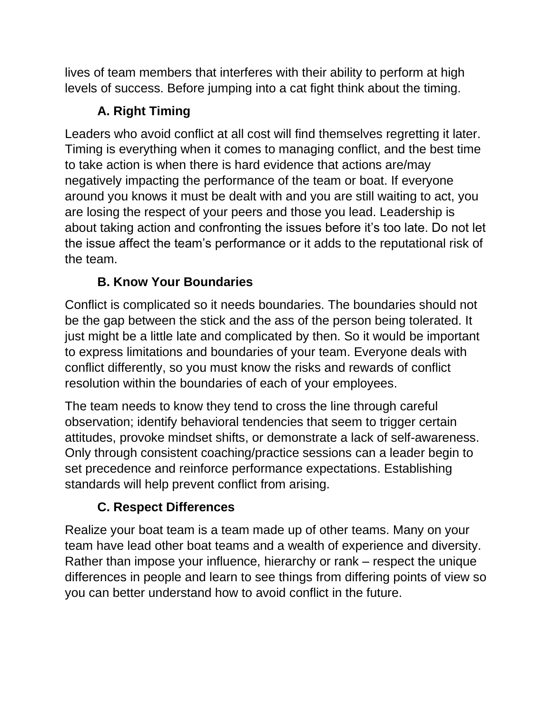lives of team members that interferes with their ability to perform at high levels of success. Before jumping into a cat fight think about the timing.

# **A. Right Timing**

Leaders who avoid conflict at all cost will find themselves regretting it later. Timing is everything when it comes to managing conflict, and the best time to take action is when there is hard evidence that actions are/may negatively impacting the performance of the team or boat. If everyone around you knows it must be dealt with and you are still waiting to act, you are losing the respect of your peers and those you lead. Leadership is about taking action and confronting the issues before it's too late. Do not let the issue affect the team's performance or it adds to the reputational risk of the team.

## **B. Know Your Boundaries**

Conflict is complicated so it needs boundaries. The boundaries should not be the gap between the stick and the ass of the person being tolerated. It just might be a little late and complicated by then. So it would be important to express limitations and boundaries of your team. Everyone deals with conflict differently, so you must know the risks and rewards of conflict resolution within the boundaries of each of your employees.

The team needs to know they tend to cross the line through careful observation; identify behavioral tendencies that seem to trigger certain attitudes, provoke mindset shifts, or demonstrate a lack of self-awareness. Only through consistent coaching/practice sessions can a leader begin to set precedence and reinforce performance expectations. Establishing standards will help prevent conflict from arising.

## **C. Respect Differences**

Realize your boat team is a team made up of other teams. Many on your team have lead other boat teams and a wealth of experience and diversity. Rather than impose your influence, hierarchy or rank – respect the unique differences in people and learn to see things from differing points of view so you can better understand how to avoid conflict in the future.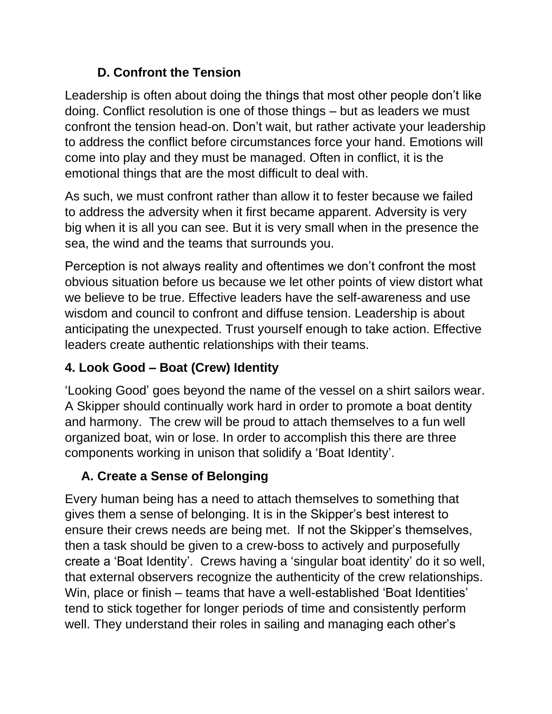### **D. Confront the Tension**

Leadership is often about doing the things that most other people don't like doing. Conflict resolution is one of those things – but as leaders we must confront the tension head-on. Don't wait, but rather activate your leadership to address the conflict before circumstances force your hand. Emotions will come into play and they must be managed. Often in conflict, it is the emotional things that are the most difficult to deal with.

As such, we must confront rather than allow it to fester because we failed to address the adversity when it first became apparent. Adversity is very big when it is all you can see. But it is very small when in the presence the sea, the wind and the teams that surrounds you.

Perception is not always reality and oftentimes we don't confront the most obvious situation before us because we let other points of view distort what we believe to be true. Effective leaders have the self-awareness and use wisdom and council to confront and diffuse tension. Leadership is about anticipating the unexpected. Trust yourself enough to take action. Effective leaders create authentic relationships with their teams.

### **4. Look Good – Boat (Crew) Identity**

'Looking Good' goes beyond the name of the vessel on a shirt sailors wear. A Skipper should continually work hard in order to promote a boat dentity and harmony. The crew will be proud to attach themselves to a fun well organized boat, win or lose. In order to accomplish this there are three components working in unison that solidify a 'Boat Identity'.

## **A. Create a Sense of Belonging**

Every human being has a need to attach themselves to something that gives them a sense of belonging. It is in the Skipper's best interest to ensure their crews needs are being met. If not the Skipper's themselves, then a task should be given to a crew-boss to actively and purposefully create a 'Boat Identity'. Crews having a 'singular boat identity' do it so well, that external observers recognize the authenticity of the crew relationships. Win, place or finish – teams that have a well-established 'Boat Identities' tend to stick together for longer periods of time and consistently perform well. They understand their roles in sailing and managing each other's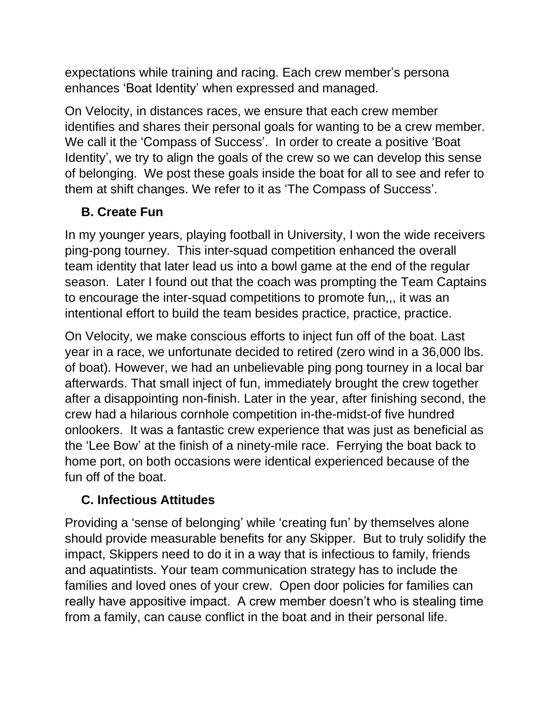expectations while training and racing. Each crew member's persona enhances 'Boat Identity' when expressed and managed.

On Velocity, in distances races, we ensure that each crew member identifies and shares their personal goals for wanting to be a crew member. We call it the 'Compass of Success'. In order to create a positive 'Boat Identity', we try to align the goals of the crew so we can develop this sense of belonging. We post these goals inside the boat for all to see and refer to them at shift changes. We refer to it as 'The Compass of Success'.

#### **B. Create Fun**

In my younger years, playing football in University, I won the wide receivers ping-pong tourney. This inter-squad competition enhanced the overall team identity that later lead us into a bowl game at the end of the regular season. Later I found out that the coach was prompting the Team Captains to encourage the inter-squad competitions to promote fun,,, it was an intentional effort to build the team besides practice, practice, practice.

On Velocity, we make conscious efforts to inject fun off of the boat. Last year in a race, we unfortunate decided to retired (zero wind in a 36,000 lbs. of boat). However, we had an unbelievable ping pong tourney in a local bar afterwards. That small inject of fun, immediately brought the crew together after a disappointing non-finish. Later in the year, after finishing second, the crew had a hilarious cornhole competition in-the-midst-of five hundred onlookers. It was a fantastic crew experience that was just as beneficial as the 'Lee Bow' at the finish of a ninety-mile race. Ferrying the boat back to home port, on both occasions were identical experienced because of the fun off of the boat.

#### **C. Infectious Attitudes**

Providing a 'sense of belonging' while 'creating fun' by themselves alone should provide measurable benefits for any Skipper. But to truly solidify the impact, Skippers need to do it in a way that is infectious to family, friends and aquatintists. Your team communication strategy has to include the families and loved ones of your crew. Open door policies for families can really have appositive impact. A crew member doesn't who is stealing time from a family, can cause conflict in the boat and in their personal life.